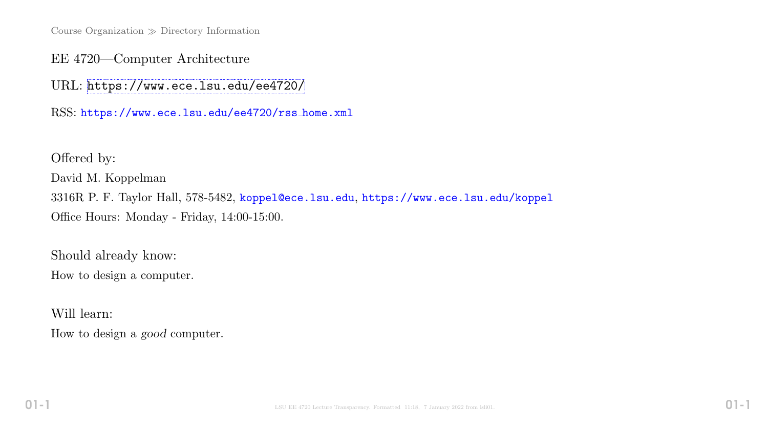Course Organization  $\gg$  Directory Information

EE 4720—Computer Architecture

URL: <https://www.ece.lsu.edu/ee4720/>

RSS: https://www.ece.lsu.edu/ee4720/rss home.xml

Offered by: David M. Koppelman 3316R P. F. Taylor Hall, 578-5482, koppel@ece.lsu.edu, https://www.ece.lsu.edu/koppel Office Hours: Monday - Friday, 14:00-15:00.

Should already know: How to design a computer.

Will learn:

How to design a good computer.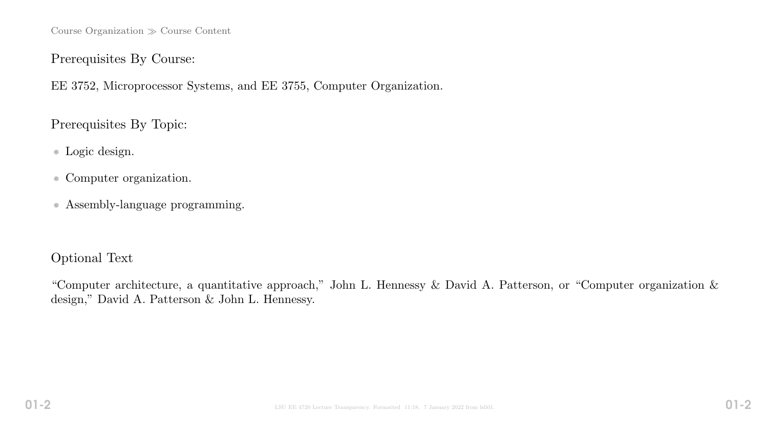Course Organization  $\gg$  Course Content

#### Prerequisites By Course:

EE 3752, Microprocessor Systems, and EE 3755, Computer Organization.

Prerequisites By Topic:

- Logic design.
- Computer organization.
- Assembly-language programming.

### Optional Text

"Computer architecture, a quantitative approach," John L. Hennessy & David A. Patterson, or "Computer organization & design," David A. Patterson & John L. Hennessy.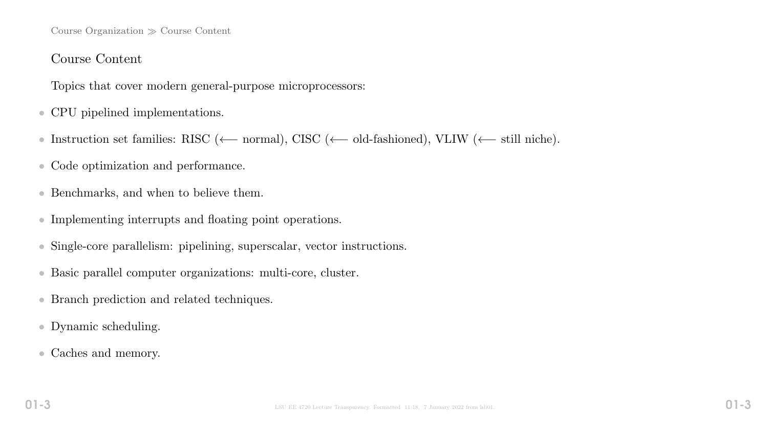#### Course Organization  $\gg$  Course Content

### Course Content

Topics that cover modern general-purpose microprocessors:

- CPU pipelined implementations.
- Instruction set families: RISC (←− normal), CISC (←− old-fashioned), VLIW (←− still niche).
- Code optimization and performance.
- Benchmarks, and when to believe them.
- Implementing interrupts and floating point operations.
- Single-core parallelism: pipelining, superscalar, vector instructions.
- Basic parallel computer organizations: multi-core, cluster.
- Branch prediction and related techniques.
- Dynamic scheduling.
- Caches and memory.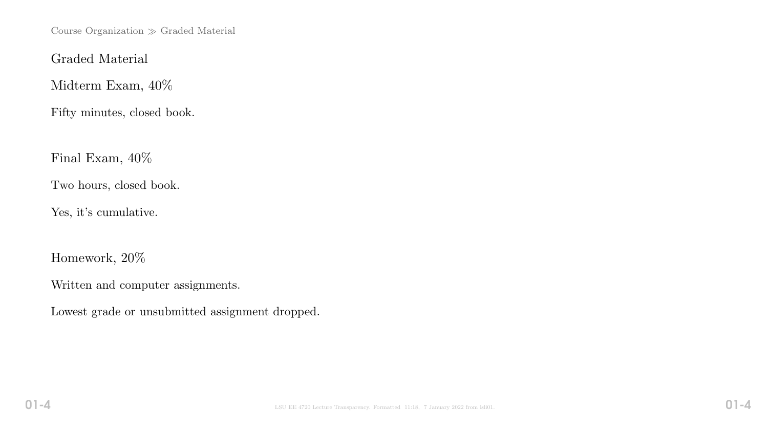Course Organization  $\gg$  Graded Material

Graded Material

Midterm Exam, 40%

Fifty minutes, closed book.

Final Exam, 40%

Two hours, closed book.

Yes, it's cumulative.

Homework, 20%

Written and computer assignments.

Lowest grade or unsubmitted assignment dropped.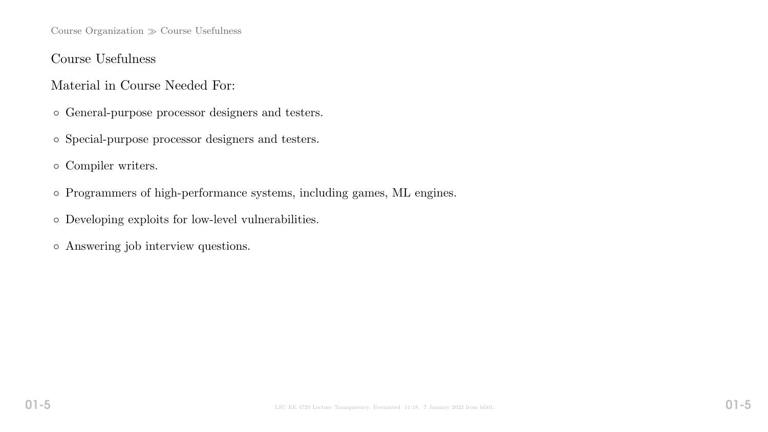Course Organization  $\gg$  Course Usefulness

### Course Usefulness

### Material in Course Needed For:

- General-purpose processor designers and testers.
- Special-purpose processor designers and testers.
- Compiler writers.
- Programmers of high-performance systems, including games, ML engines.
- Developing exploits for low-level vulnerabilities.
- Answering job interview questions.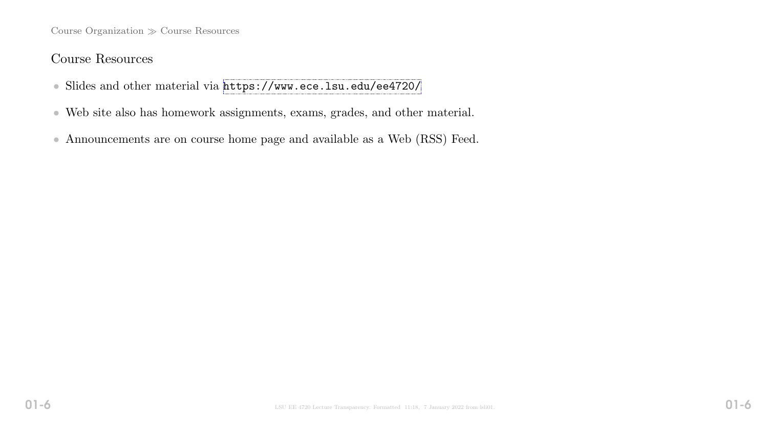Course Organization  $\gg$  Course Resources

### Course Resources

- Slides and other material via <https://www.ece.lsu.edu/ee4720/>
- Web site also has homework assignments, exams, grades, and other material.
- Announcements are on course home page and available as a Web (RSS) Feed.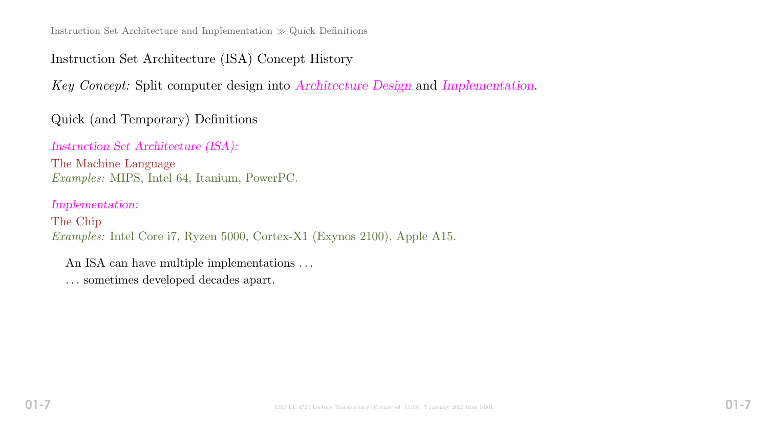# Instruction Set Architecture (ISA) Concept History

Key Concept: Split computer design into Architecture Design and Implementation.

Quick (and Temporary) Definitions

Instruction Set Architecture (ISA):

The Machine Language Examples: MIPS, Intel 64, Itanium, PowerPC.

Implementation:

The Chip Examples: Intel Core i7, Ryzen 5000, Cortex-X1 (Exynos 2100), Apple A15.

An ISA can have multiple implementations . . .

. . . sometimes developed decades apart.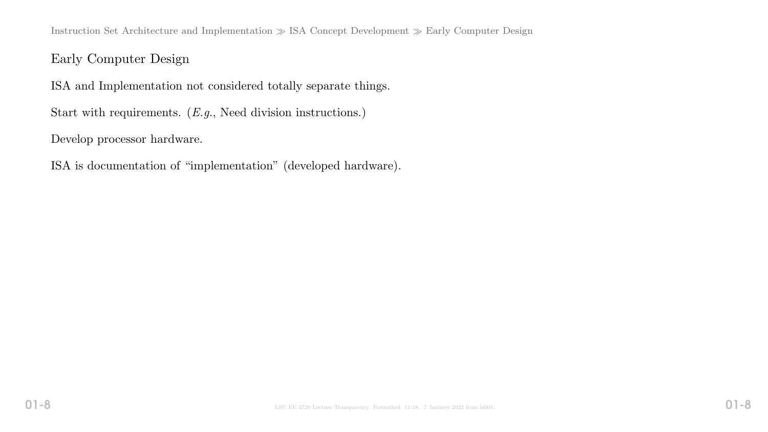Instruction Set Architecture and Implementation  $\gg$  ISA Concept Development  $\gg$  Early Computer Design

### Early Computer Design

ISA and Implementation not considered totally separate things.

Start with requirements. (*E.g.*, Need division instructions.)

Develop processor hardware.

ISA is documentation of "implementation" (developed hardware).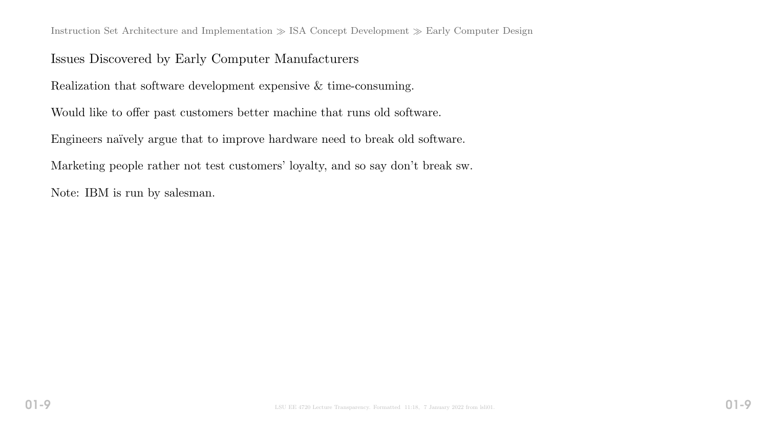Instruction Set Architecture and Implementation  $\gg$  ISA Concept Development  $\gg$  Early Computer Design

### Issues Discovered by Early Computer Manufacturers

Realization that software development expensive & time-consuming.

Would like to offer past customers better machine that runs old software.

Engineers naïvely argue that to improve hardware need to break old software.

Marketing people rather not test customers' loyalty, and so say don't break sw.

Note: IBM is run by salesman.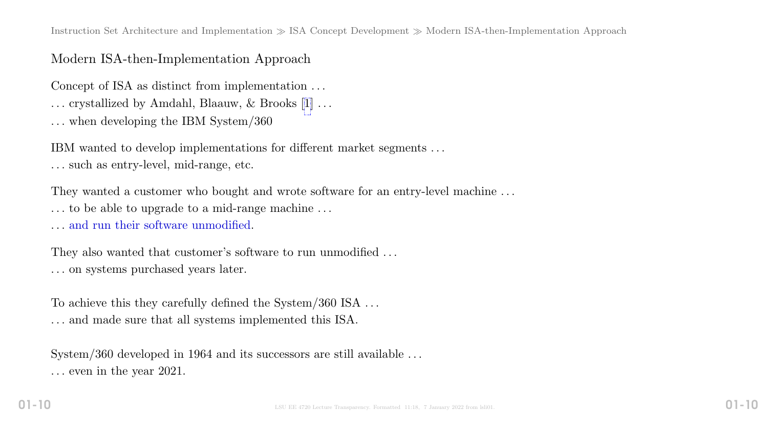Instruction Set Architecture and Implementation  $\gg$  ISA Concept Development  $\gg$  Modern ISA-then-Implementation Approach

### Modern ISA-then-Implementation Approach

Concept of ISA as distinct from implementation . . .

. . . crystallized by Amdahl, Blaauw, & Brooks [[1\]](#page-21-0) . . .

. . . when developing the IBM System/360

IBM wanted to develop implementations for different market segments . . . . . . such as entry-level, mid-range, etc.

They wanted a customer who bought and wrote software for an entry-level machine ... . . . to be able to upgrade to a mid-range machine . . .

. . . and run their software unmodified.

They also wanted that customer's software to run unmodified ... . . . on systems purchased years later.

To achieve this they carefully defined the System/360 ISA  $\dots$ . . . and made sure that all systems implemented this ISA.

System/360 developed in 1964 and its successors are still available ... . . . even in the year 2021.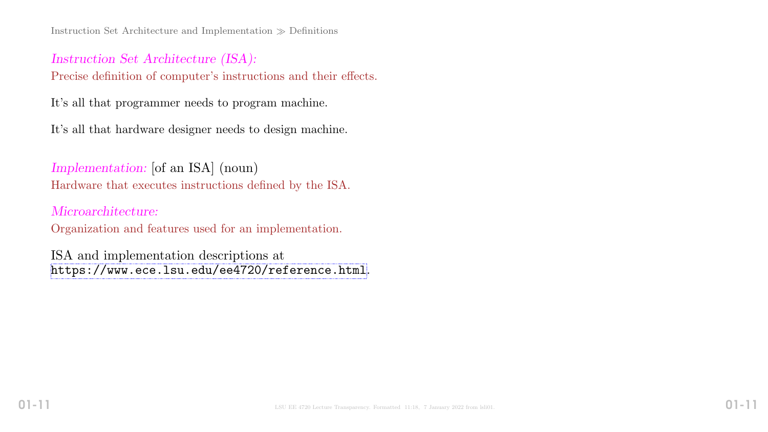Instruction Set Architecture and Implementation  $\gg$  Definitions

## Instruction Set Architecture (ISA): Precise definition of computer's instructions and their effects.

It's all that programmer needs to program machine.

It's all that hardware designer needs to design machine.

Implementation: [of an ISA] (noun) Hardware that executes instructions defined by the ISA.

Microarchitecture: Organization and features used for an implementation.

ISA and implementation descriptions at <https://www.ece.lsu.edu/ee4720/reference.html>.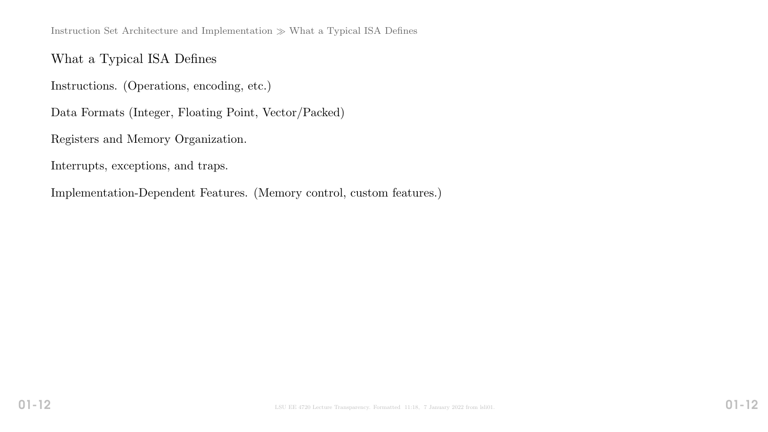Instruction Set Architecture and Implementation  $\gg$  What a Typical ISA Defines

### What a Typical ISA Defines

Instructions. (Operations, encoding, etc.)

Data Formats (Integer, Floating Point, Vector/Packed)

Registers and Memory Organization.

Interrupts, exceptions, and traps.

Implementation-Dependent Features. (Memory control, custom features.)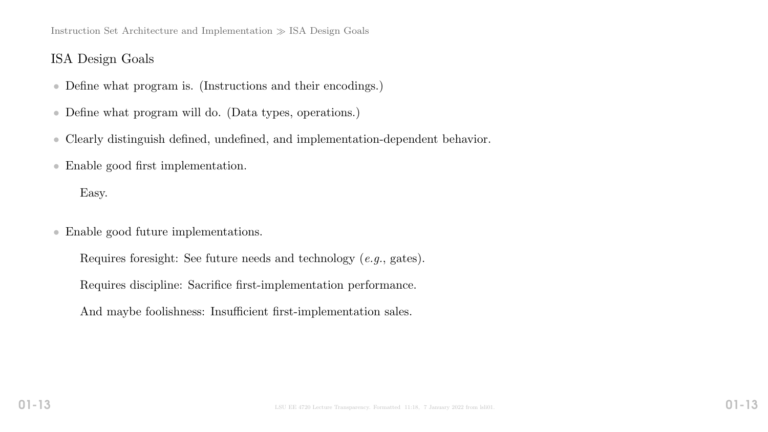Instruction Set Architecture and Implementation  $\gg$  ISA Design Goals

### ISA Design Goals

- Define what program is. (Instructions and their encodings.)
- Define what program will do. (Data types, operations.)
- Clearly distinguish defined, undefined, and implementation-dependent behavior.
- Enable good first implementation.

Easy.

- Enable good future implementations.
	- Requires foresight: See future needs and technology (e.g., gates).
	- Requires discipline: Sacrifice first-implementation performance.
	- And maybe foolishness: Insufficient first-implementation sales.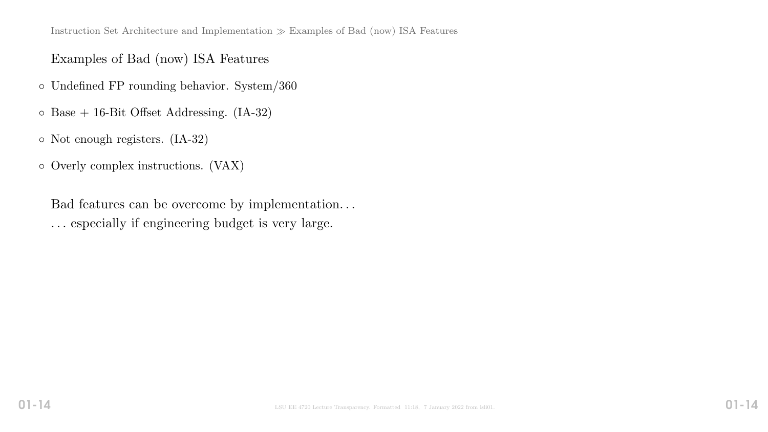## Examples of Bad (now) ISA Features

- Undefined FP rounding behavior. System/360
- Base + 16-Bit Offset Addressing. (IA-32)
- Not enough registers. (IA-32)
- Overly complex instructions. (VAX)

Bad features can be overcome by implementation. . . . . . especially if engineering budget is very large.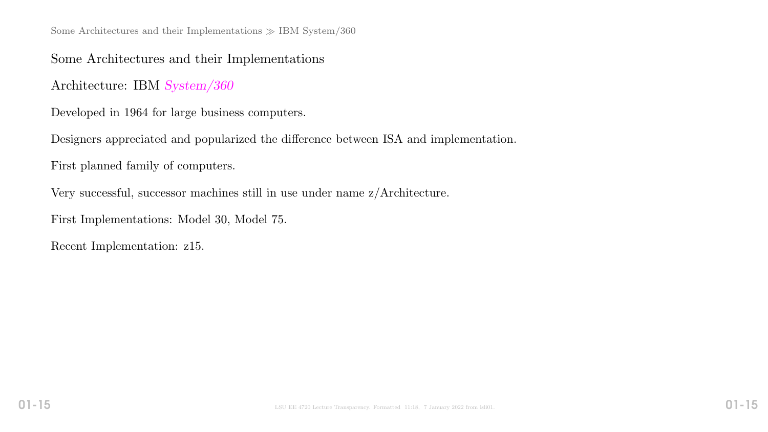Some Architectures and their Implementations  $\gg$  IBM System/360

Some Architectures and their Implementations

Architecture: IBM System/360

Developed in 1964 for large business computers.

Designers appreciated and popularized the difference between ISA and implementation.

First planned family of computers.

Very successful, successor machines still in use under name z/Architecture.

First Implementations: Model 30, Model 75.

Recent Implementation: z15.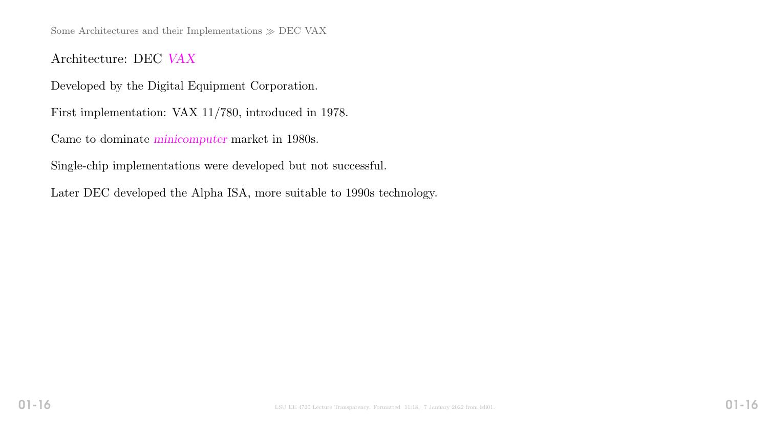Some Architectures and their Implementations  $\gg$  DEC VAX

Architecture: DEC VAX

Developed by the Digital Equipment Corporation.

First implementation: VAX 11/780, introduced in 1978.

Came to dominate minicomputer market in 1980s.

Single-chip implementations were developed but not successful.

Later DEC developed the Alpha ISA, more suitable to 1990s technology.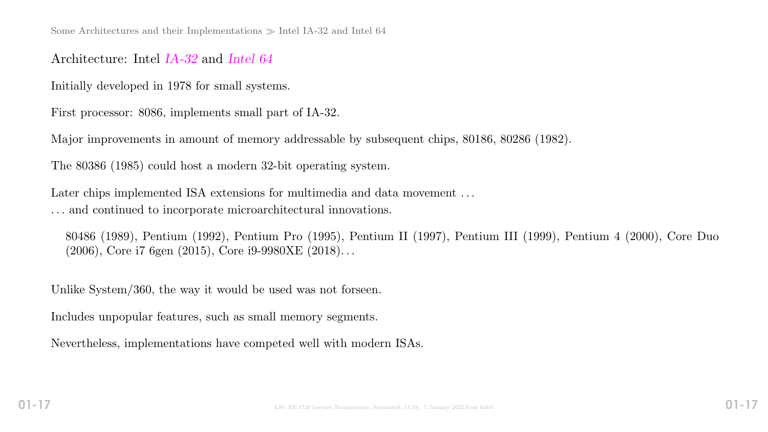### Architecture: Intel IA-32 and Intel 64

Initially developed in 1978 for small systems.

First processor: 8086, implements small part of IA-32.

Major improvements in amount of memory addressable by subsequent chips, 80186, 80286 (1982).

The 80386 (1985) could host a modern 32-bit operating system.

Later chips implemented ISA extensions for multimedia and data movement ... . . . and continued to incorporate microarchitectural innovations.

80486 (1989), Pentium (1992), Pentium Pro (1995), Pentium II (1997), Pentium III (1999), Pentium 4 (2000), Core Duo (2006), Core i7 6gen (2015), Core i9-9980XE (2018). . .

Unlike System/360, the way it would be used was not forseen.

Includes unpopular features, such as small memory segments.

Nevertheless, implementations have competed well with modern ISAs.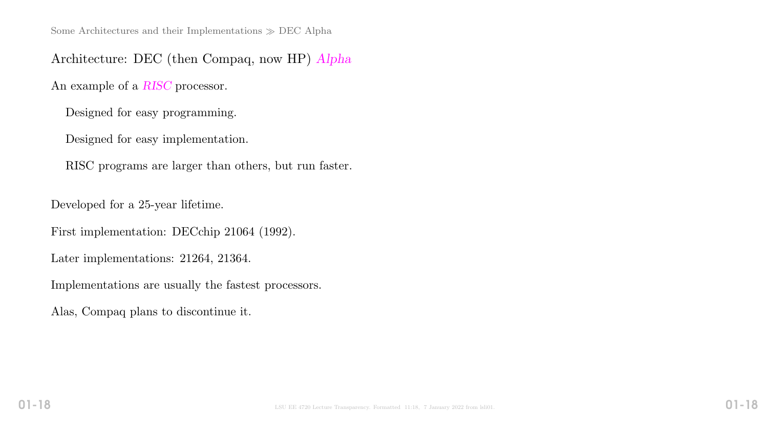Architecture: DEC (then Compaq, now HP) Alpha

An example of a RISC processor.

Designed for easy programming.

Designed for easy implementation.

RISC programs are larger than others, but run faster.

Developed for a 25-year lifetime.

First implementation: DECchip 21064 (1992).

Later implementations: 21264, 21364.

Implementations are usually the fastest processors.

Alas, Compaq plans to discontinue it.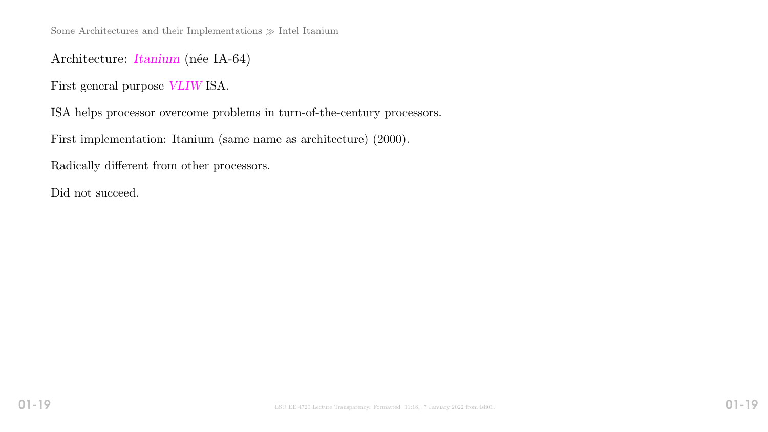Some Architectures and their Implementations  $\gg$  Intel Itanium

### Architecture: *Itanium* (née IA-64)

First general purpose VLIW ISA.

ISA helps processor overcome problems in turn-of-the-century processors.

First implementation: Itanium (same name as architecture) (2000).

Radically different from other processors.

Did not succeed.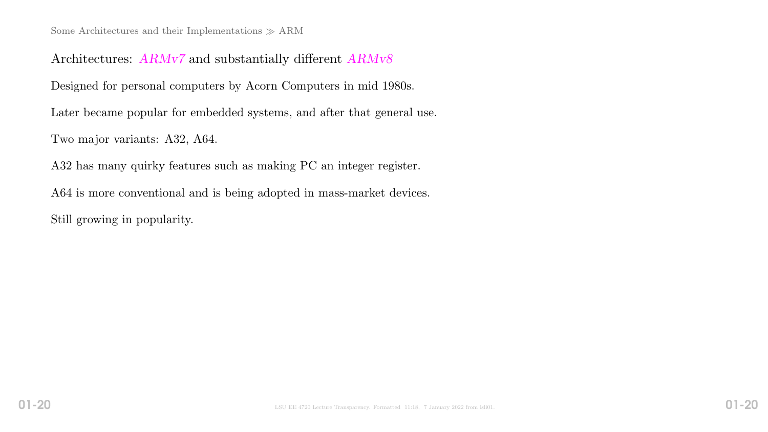### Architectures: ARMv7 and substantially different ARMv8

Designed for personal computers by Acorn Computers in mid 1980s.

Later became popular for embedded systems, and after that general use.

Two major variants: A32, A64.

A32 has many quirky features such as making PC an integer register.

A64 is more conventional and is being adopted in mass-market devices.

Still growing in popularity.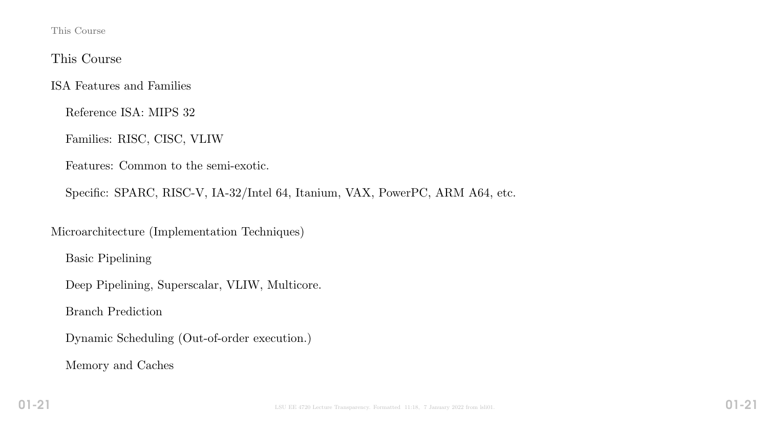This Course

### This Course

ISA Features and Families

Reference ISA: MIPS 32

Families: RISC, CISC, VLIW

Features: Common to the semi-exotic.

Specific: SPARC, RISC-V, IA-32/Intel 64, Itanium, VAX, PowerPC, ARM A64, etc.

Microarchitecture (Implementation Techniques)

Basic Pipelining

Deep Pipelining, Superscalar, VLIW, Multicore.

Branch Prediction

Dynamic Scheduling (Out-of-order execution.)

Memory and Caches